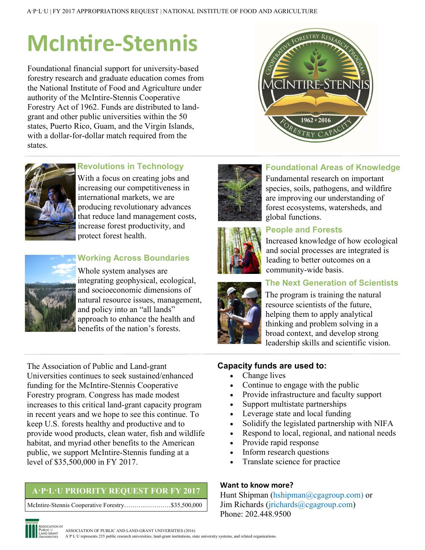# **McIntire-Stennis**

Foundational financial support for university-based forestry research and graduate education comes from the National Institute of Food and Agriculture under authority of the McIntire-Stennis Cooperative Forestry Act of 1962. Funds are distributed to landgrant and other public universities within the 50 states, Puerto Rico, Guam, and the Virgin Islands, with a dollar-for-dollar match required from the states.





## **Revolutions in Technology**

With a focus on creating jobs and increasing our competitiveness in international markets, we are producing revolutionary advances that reduce land management costs, increase forest productivity, and protect forest health.



**Working Across Boundaries**

Whole system analyses are integrating geophysical, ecological, and socioeconomic dimensions of natural resource issues, management, and policy into an "all lands" approach to enhance the health and benefits of the nation's forests.



## **Foundational Areas of Knowledge**

Fundamental research on important species, soils, pathogens, and wildfire are improving our understanding of forest ecosystems, watersheds, and global functions.

**People and Forests**



Increased knowledge of how ecological and social processes are integrated is leading to better outcomes on a community-wide basis.

## **The Next Generation of Scientists**

The program is training the natural resource scientists of the future, helping them to apply analytical thinking and problem solving in a broad context, and develop strong leadership skills and scientific vision.

The Association of Public and Land-grant Universities continues to seek sustained/enhanced funding for the McIntire-Stennis Cooperative Forestry program. Congress has made modest increases to this critical land-grant capacity program in recent years and we hope to see this continue. To keep U.S. forests healthy and productive and to provide wood products, clean water, fish and wildlife habitat, and myriad other benefits to the American public, we support McIntire-Stennis funding at a level of \$35,500,000 in FY 2017.

## **A·P·L·U PRIORITY REQUEST FOR FY 2017**

McIntire-Stennis Cooperative Forestry………..…………\$35,500,000

#### **Capacity funds are used to:**

- Change lives
- Continue to engage with the public
- Provide infrastructure and faculty support
- Support multistate partnerships
- Leverage state and local funding
- Solidify the legislated partnership with NIFA
- Respond to local, regional, and national needs
- Provide rapid response
- Inform research questions
- Translate science for practice

#### **Want to know more?**

Hunt Shipman (hshipman@cgagroup.com) or Jim Richards (jrichards@cgagroup.com) Phone: 202.448.9500